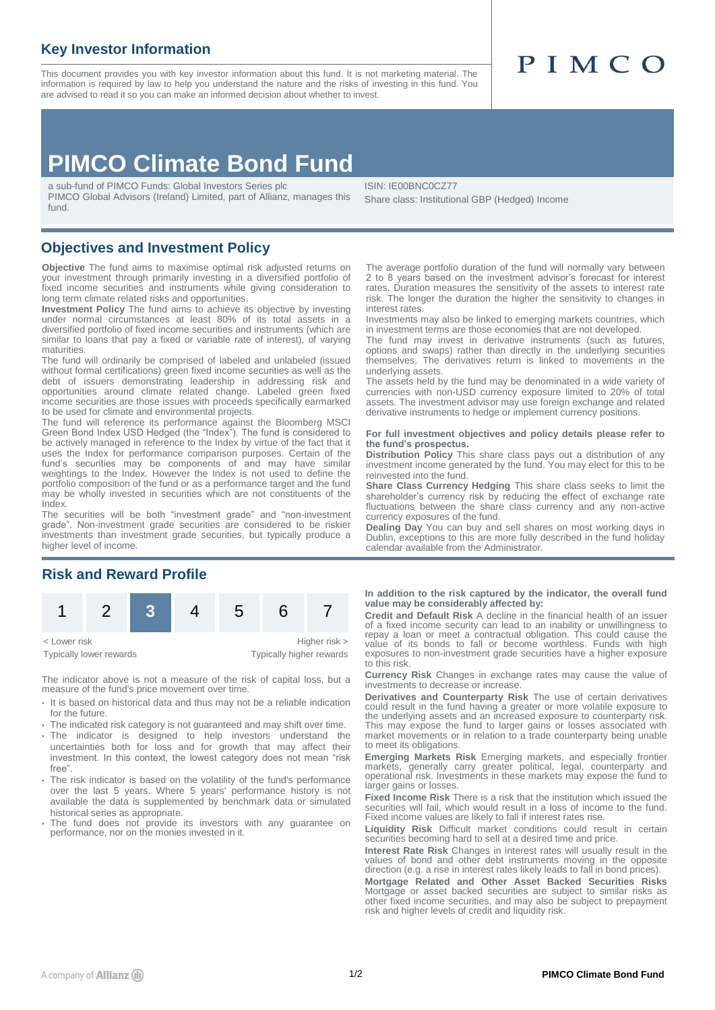## **Key Investor Information**

fund.

This document provides you with key investor information about this fund. It is not marketing material. The information is required by law to help you understand the nature and the risks of investing in this fund. You are advised to read it so you can make an informed decision about whether to invest.

# PIMCO

## **PIMCO Climate Bond Fund**

a sub-fund of PIMCO Funds: Global Investors Series plc PIMCO Global Advisors (Ireland) Limited, part of Allianz, manages this

ISIN: IE00BNC0CZ77 Share class: Institutional GBP (Hedged) Income

### **Objectives and Investment Policy**

**Objective** The fund aims to maximise optimal risk adjusted returns on your investment through primarily investing in a diversified portfolio of fixed income securities and instruments while giving consideration to long term climate related risks and opportunities.

**Investment Policy** The fund aims to achieve its objective by investing under normal circumstances at least 80% of its total assets in a diversified portfolio of fixed income securities and instruments (which are similar to loans that pay a fixed or variable rate of interest), of varying maturities.

The fund will ordinarily be comprised of labeled and unlabeled (issued without formal certifications) green fixed income securities as well as the debt of issuers demonstrating leadership in addressing risk and opportunities around climate related change. Labeled green fixed income securities are those issues with proceeds specifically earmarked to be used for climate and environmental projects.

The fund will reference its performance against the Bloomberg MSCI Green Bond Index USD Hedged (the "Index"). The fund is considered to be actively managed in reference to the Index by virtue of the fact that it uses the Index for performance comparison purposes. Certain of the fund's securities may be components of and may have similar weightings to the Index. However the Index is not used to define the portfolio composition of the fund or as a performance target and the fund may be wholly invested in securities which are not constituents of the Index.

The securities will be both "investment grade" and "non-investment grade". Non-investment grade securities are considered to be riskier investments than investment grade securities, but typically produce a higher level of income.

## **Risk and Reward Profile**



The indicator above is not a measure of the risk of capital loss, but a measure of the fund's price movement over time.

- It is based on historical data and thus may not be a reliable indication for the future
- The indicated risk category is not guaranteed and may shift over time.
- The indicator is designed to help investors understand the uncertainties both for loss and for growth that may affect their investment. In this context, the lowest category does not mean "risk free".
- The risk indicator is based on the volatility of the fund's performance over the last 5 years. Where 5 years' performance history is not available the data is supplemented by benchmark data or simulated historical series as appropriate.
- The fund does not provide its investors with any guarantee on performance, nor on the monies invested in it.

The average portfolio duration of the fund will normally vary between 2 to 8 years based on the investment advisor's forecast for interest rates. Duration measures the sensitivity of the assets to interest rate risk. The longer the duration the higher the sensitivity to changes in interest rates.

Investments may also be linked to emerging markets countries, which in investment terms are those economies that are not developed.

The fund may invest in derivative instruments (such as futures, options and swaps) rather than directly in the underlying securities themselves. The derivatives return is linked to movements in the underlying assets.

The assets held by the fund may be denominated in a wide variety of currencies with non-USD currency exposure limited to 20% of total assets. The investment advisor may use foreign exchange and related derivative instruments to hedge or implement currency positions.

#### **For full investment objectives and policy details please refer to the fund's prospectus.**

**Distribution Policy** This share class pays out a distribution of any investment income generated by the fund. You may elect for this to be reinvested into the fund.

**Share Class Currency Hedging** This share class seeks to limit the shareholder's currency risk by reducing the effect of exchange rate fluctuations between the share class currency and any non-active currency exposures of the fund.

**Dealing Day** You can buy and sell shares on most working days in Dublin, exceptions to this are more fully described in the fund holiday calendar available from the Administrator.

**In addition to the risk captured by the indicator, the overall fund value may be considerably affected by:**

**Credit and Default Risk** A decline in the financial health of an issuer of a fixed income security can lead to an inability or unwillingness to repay a loan or meet a contractual obligation. This could cause the value of its bonds to fall or become worthless. Funds with high exposures to non-investment grade securities have a higher exposure to this risk.

**Currency Risk** Changes in exchange rates may cause the value of investments to decrease or increase.

**Derivatives and Counterparty Risk** The use of certain derivatives could result in the fund having a greater or more volatile exposure to the underlying assets and an increased exposure to counterparty risk. This may expose the fund to larger gains or losses associated with market movements or in relation to a trade counterparty being unable to meet its obligations.

**Emerging Markets Risk** Emerging markets, and especially frontier markets, generally carry greater political, legal, counterparty and<br>operational risk. Investments in these markets may expose the fund to larger gains or losses.

**Fixed Income Risk** There is a risk that the institution which issued the securities will fail, which would result in a loss of income to the fund. Fixed income values are likely to fall if interest rates rise.

**Liquidity Risk** Difficult market conditions could result in certain securities becoming hard to sell at a desired time and price.

**Interest Rate Risk** Changes in interest rates will usually result in the values of bond and other debt instruments moving in the opposite direction (e.g. a rise in interest rates likely leads to fall in bond prices).

**Mortgage Related and Other Asset Backed Securities Risks** Mortgage or asset backed securities are subject to similar risks as other fixed income securities, and may also be subject to prepayment risk and higher levels of credit and liquidity risk.